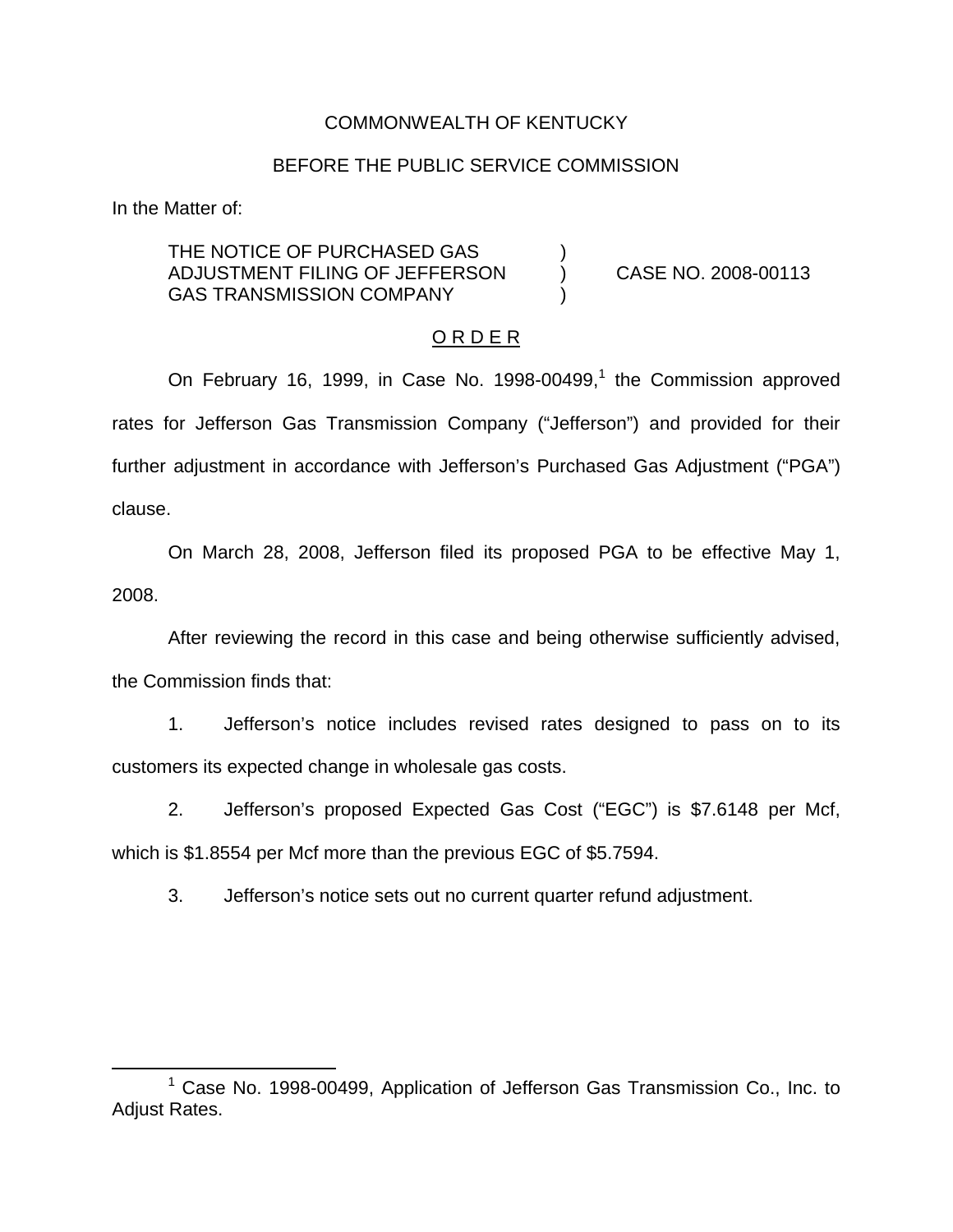### COMMONWEALTH OF KENTUCKY

### BEFORE THE PUBLIC SERVICE COMMISSION

In the Matter of:

THE NOTICE OF PURCHASED GAS ADJUSTMENT FILING OF JEFFERSON ) CASE NO. 2008-00113 GAS TRANSMISSION COMPANY

#### O R D E R

On February 16, 1999, in Case No. 1998-00499,<sup>1</sup> the Commission approved rates for Jefferson Gas Transmission Company ("Jefferson") and provided for their further adjustment in accordance with Jefferson's Purchased Gas Adjustment ("PGA") clause.

On March 28, 2008, Jefferson filed its proposed PGA to be effective May 1, 2008.

After reviewing the record in this case and being otherwise sufficiently advised, the Commission finds that:

1. Jefferson's notice includes revised rates designed to pass on to its customers its expected change in wholesale gas costs.

2. Jefferson's proposed Expected Gas Cost ("EGC") is \$7.6148 per Mcf, which is \$1.8554 per Mcf more than the previous EGC of \$5.7594.

3. Jefferson's notice sets out no current quarter refund adjustment.

 $1$  Case No. 1998-00499, Application of Jefferson Gas Transmission Co., Inc. to Adjust Rates.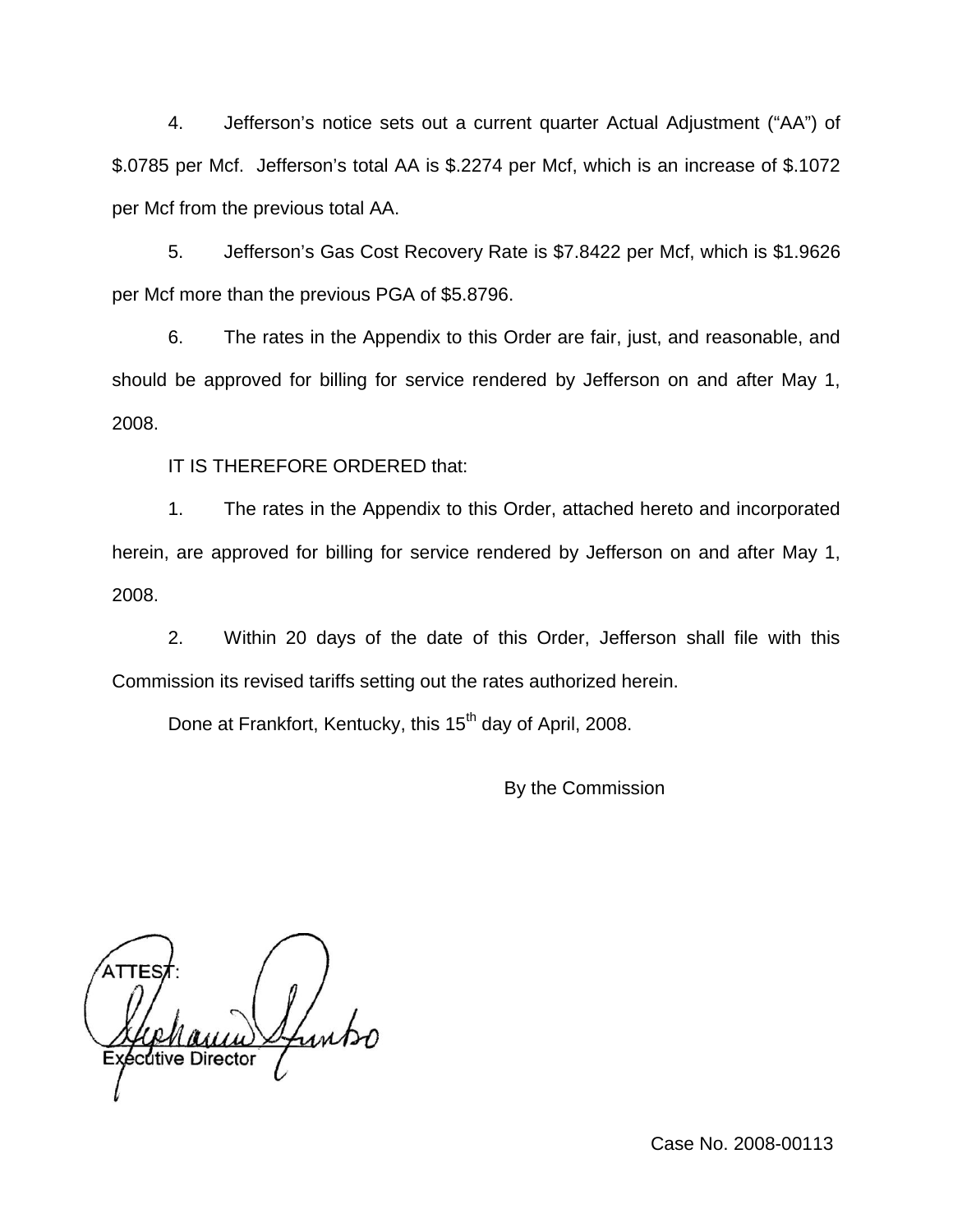4. Jefferson's notice sets out a current quarter Actual Adjustment ("AA") of \$.0785 per Mcf. Jefferson's total AA is \$.2274 per Mcf, which is an increase of \$.1072 per Mcf from the previous total AA.

5. Jefferson's Gas Cost Recovery Rate is \$7.8422 per Mcf, which is \$1.9626 per Mcf more than the previous PGA of \$5.8796.

6. The rates in the Appendix to this Order are fair, just, and reasonable, and should be approved for billing for service rendered by Jefferson on and after May 1, 2008.

IT IS THEREFORE ORDERED that:

1. The rates in the Appendix to this Order, attached hereto and incorporated herein, are approved for billing for service rendered by Jefferson on and after May 1, 2008.

2. Within 20 days of the date of this Order, Jefferson shall file with this Commission its revised tariffs setting out the rates authorized herein.

Done at Frankfort, Kentucky, this 15<sup>th</sup> day of April, 2008.

By the Commission

cutive Director

Case No. 2008-00113